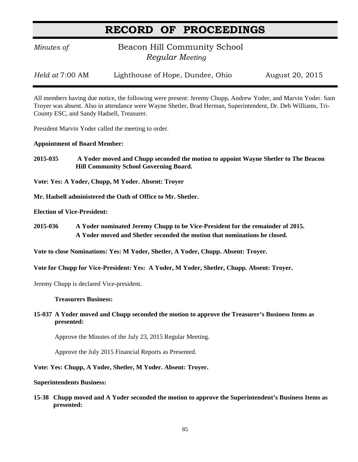## **RECORD OF PROCEEDINGS**

*Minutes of* **Beacon Hill Community School**  *Regular Meeting*

*Held at* 7:00 AM Lighthouse of Hope, Dundee, Ohio August 20, 2015

All members having due notice, the following were present: Jeremy Chupp, Andrew Yoder, and Marvin Yoder. Sam Troyer was absent. Also in attendance were Wayne Shetler, Brad Herman, Superintendent, Dr. Deb Williams, Tri-County ESC, and Sandy Hadsell, Treasurer.

President Marvin Yoder called the meeting to order.

#### **Appointment of Board Member:**

**2015-035 A Yoder moved and Chupp seconded the motion to appoint Wayne Shetler to The Beacon Hill Community School Governing Board.**

**Vote: Yes: A Yoder, Chupp, M Yoder. Absent: Troyer**

**Mr. Hadsell administered the Oath of Office to Mr. Shetler.**

**Election of Vice-President:**

**2015-036 A Yoder nominated Jeremy Chupp to be Vice-President for the remainder of 2015. A Yoder moved and Shetler seconded the motion that nominations be closed.**

**Vote to close Nominations: Yes: M Yoder, Shetler, A Yoder, Chupp. Absent: Troyer.**

**Vote for Chupp for Vice-President: Yes: A Yoder, M Yoder, Shetler, Chupp. Absent: Troyer.**

Jeremy Chupp is declared Vice-president.

**Treasurers Business:**

**15-037 A Yoder moved and Chupp seconded the motion to approve the Treasurer's Business Items as presented:**

Approve the Minutes of the July 23, 2015 Regular Meeting.

Approve the July 2015 Financial Reports as Presented.

**Vote: Yes: Chupp, A Yoder, Shetler, M Yoder. Absent: Troyer.**

**Superintendents Business:**

**15-38 Chupp moved and A Yoder seconded the motion to approve the Superintendent's Business Items as presented:**